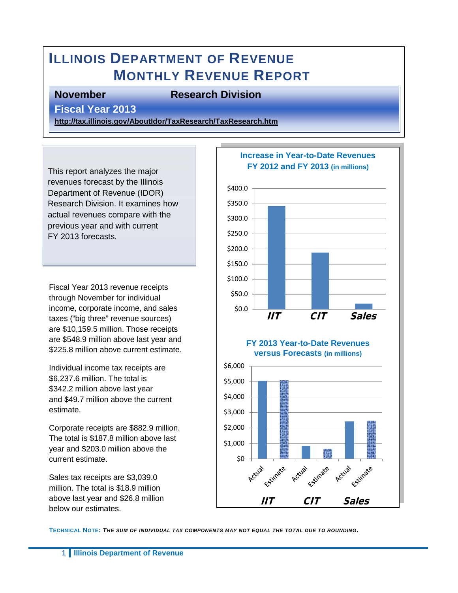# **ILLINOIS DEPARTMENT OF REVENUE MONTHLY REVENUE REPORT**

#### **November Research Division**

**Fiscal Year 2013** 

**<http://tax.illinois.gov/AboutIdor/TaxResearch/TaxResearch.htm>**

This report analyzes the major revenues forecast by the Illinois Department of Revenue (IDOR) Research Division. It examines how actual revenues compare with the previous year and with current FY 2013 forecasts.

Fiscal Year 2013 revenue receipts through November for individual income, corporate income, and sales taxes ("big three" revenue sources) are \$10,159.5 million. Those receipts are \$548.9 million above last year and \$225.8 million above current estimate.

Individual income tax receipts are \$6,237.6 million. The total is \$342.2 million above last year and \$49.7 million above the current estimate.

Corporate receipts are \$882.9 million. The total is \$187.8 million above last year and \$203.0 million above the current estimate.

Sales tax receipts are \$3,039.0 million. The total is \$18.9 million above last year and \$26.8 million below our estimates.



**TECHNICAL NOTE:** *THE SUM OF INDIVIDUAL TAX COMPONENTS MAY NOT EQUAL THE TOTAL DUE TO ROUNDING.*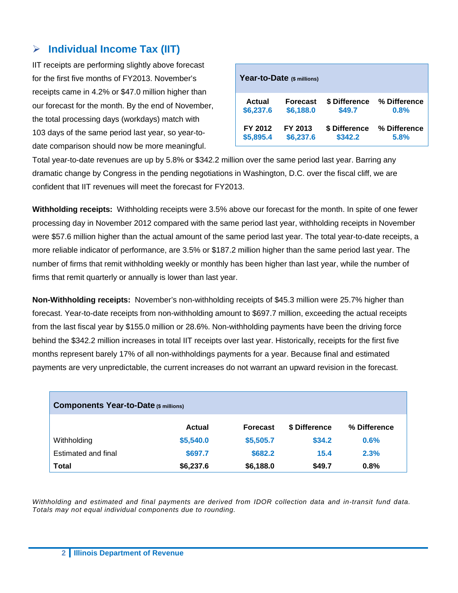#### **Individual Income Tax (IIT)**

IIT receipts are performing slightly above forecast for the first five months of FY2013. November's receipts came in 4.2% or \$47.0 million higher than our forecast for the month. By the end of November, the total processing days (workdays) match with 103 days of the same period last year, so year-todate comparison should now be more meaningful.

| Year-to-Date (\$ millions) |                 |               |              |  |  |
|----------------------------|-----------------|---------------|--------------|--|--|
| Actual                     | <b>Forecast</b> | \$ Difference | % Difference |  |  |
| \$6,237.6                  | \$6,188.0       | \$49.7        | 0.8%         |  |  |
| FY 2012                    | FY 2013         | \$ Difference | % Difference |  |  |
| \$5,895.4                  | \$6,237.6       | \$342.2       | 5.8%         |  |  |

Total year-to-date revenues are up by 5.8% or \$342.2 million over the same period last year. Barring any dramatic change by Congress in the pending negotiations in Washington, D.C. over the fiscal cliff, we are confident that IIT revenues will meet the forecast for FY2013.

**Withholding receipts:** Withholding receipts were 3.5% above our forecast for the month. In spite of one fewer processing day in November 2012 compared with the same period last year, withholding receipts in November were \$57.6 million higher than the actual amount of the same period last year. The total year-to-date receipts, a more reliable indicator of performance, are 3.5% or \$187.2 million higher than the same period last year. The number of firms that remit withholding weekly or monthly has been higher than last year, while the number of firms that remit quarterly or annually is lower than last year.

**Non-Withholding receipts:** November's non-withholding receipts of \$45.3 million were 25.7% higher than forecast. Year-to-date receipts from non-withholding amount to \$697.7 million, exceeding the actual receipts from the last fiscal year by \$155.0 million or 28.6%. Non-withholding payments have been the driving force behind the \$342.2 million increases in total IIT receipts over last year. Historically, receipts for the first five months represent barely 17% of all non-withholdings payments for a year. Because final and estimated payments are very unpredictable, the current increases do not warrant an upward revision in the forecast.

| <b>Components Year-to-Date (\$ millions)</b> |               |                 |               |              |  |
|----------------------------------------------|---------------|-----------------|---------------|--------------|--|
|                                              | <b>Actual</b> | <b>Forecast</b> | \$ Difference | % Difference |  |
| Withholding                                  | \$5,540.0     | \$5,505.7       | \$34.2        | 0.6%         |  |
| Estimated and final                          | \$697.7       | \$682.2         | 15.4          | 2.3%         |  |
| Total                                        | \$6,237.6     | \$6,188.0       | \$49.7        | 0.8%         |  |

*Withholding and estimated and final payments are derived from IDOR collection data and in-transit fund data. Totals may not equal individual components due to rounding.*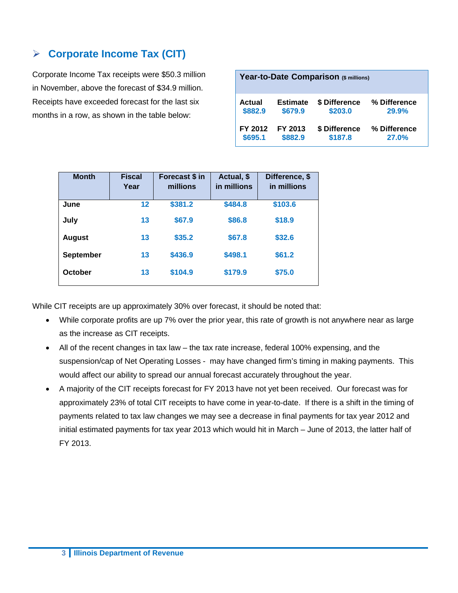#### **Corporate Income Tax (CIT)**

Corporate Income Tax receipts were \$50.3 million in November, above the forecast of \$34.9 million. Receipts have exceeded forecast for the last six months in a row, as shown in the table below:

| Year-to-Date Comparison (\$ millions)                                                         |                            |                          |                       |  |  |
|-----------------------------------------------------------------------------------------------|----------------------------|--------------------------|-----------------------|--|--|
| Actual<br>\$882.9                                                                             | <b>Estimate</b><br>\$679.9 | \$ Difference<br>\$203.0 | % Difference<br>29.9% |  |  |
| \$ Difference<br>FY 2012<br>FY 2013<br>% Difference<br>\$187.8<br>\$882.9<br>\$695.1<br>27.0% |                            |                          |                       |  |  |

| <b>Month</b>     | <b>Fiscal</b><br>Year | Forecast \$ in<br>millions | Actual, \$<br>in millions | Difference, \$<br>in millions |
|------------------|-----------------------|----------------------------|---------------------------|-------------------------------|
| June             | 12                    | \$381.2                    | \$484.8                   | \$103.6                       |
| July             | 13                    | \$67.9                     | \$86.8                    | \$18.9                        |
| <b>August</b>    | 13                    | \$35.2                     | \$67.8                    | \$32.6                        |
| <b>September</b> | 13                    | \$436.9                    | \$498.1                   | \$61.2                        |
| October          | 13                    | \$104.9                    | \$179.9                   | \$75.0                        |

While CIT receipts are up approximately 30% over forecast, it should be noted that:

- While corporate profits are up 7% over the prior year, this rate of growth is not anywhere near as large as the increase as CIT receipts.
- All of the recent changes in tax law the tax rate increase, federal 100% expensing, and the suspension/cap of Net Operating Losses - may have changed firm's timing in making payments. This would affect our ability to spread our annual forecast accurately throughout the year.
- A majority of the CIT receipts forecast for FY 2013 have not yet been received. Our forecast was for approximately 23% of total CIT receipts to have come in year-to-date. If there is a shift in the timing of payments related to tax law changes we may see a decrease in final payments for tax year 2012 and initial estimated payments for tax year 2013 which would hit in March – June of 2013, the latter half of FY 2013.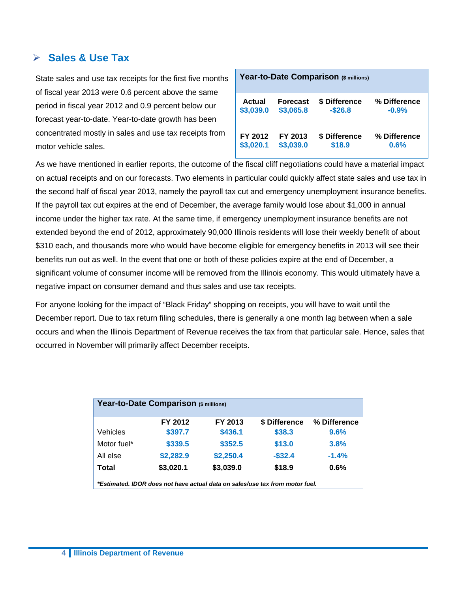#### **Sales & Use Tax**

State sales and use tax receipts for the first five months of fiscal year 2013 were 0.6 percent above the same period in fiscal year 2012 and 0.9 percent below our forecast year-to-date. Year-to-date growth has been concentrated mostly in sales and use tax receipts from motor vehicle sales.

| Year-to-Date Comparison (\$ millions) |                 |               |              |  |  |
|---------------------------------------|-----------------|---------------|--------------|--|--|
| Actual                                | <b>Forecast</b> | \$ Difference | % Difference |  |  |
| \$3,039.0                             | \$3,065.8       | $-$26.8$      | $-0.9%$      |  |  |
| FY 2012                               | FY 2013         | \$ Difference | % Difference |  |  |
| \$3,020.1                             | \$3,039.0       | \$18.9        | 0.6%         |  |  |

As we have mentioned in earlier reports, the outcome of the fiscal cliff negotiations could have a material impact on actual receipts and on our forecasts. Two elements in particular could quickly affect state sales and use tax in the second half of fiscal year 2013, namely the payroll tax cut and emergency unemployment insurance benefits. If the payroll tax cut expires at the end of December, the average family would lose about \$1,000 in annual income under the higher tax rate. At the same time, if emergency unemployment insurance benefits are not extended beyond the end of 2012, approximately 90,000 Illinois residents will lose their weekly benefit of about \$310 each, and thousands more who would have become eligible for emergency benefits in 2013 will see their benefits run out as well. In the event that one or both of these policies expire at the end of December, a significant volume of consumer income will be removed from the Illinois economy. This would ultimately have a negative impact on consumer demand and thus sales and use tax receipts.

For anyone looking for the impact of "Black Friday" shopping on receipts, you will have to wait until the December report. Due to tax return filing schedules, there is generally a one month lag between when a sale occurs and when the Illinois Department of Revenue receives the tax from that particular sale. Hence, sales that occurred in November will primarily affect December receipts.

| Year-to-Date Comparison (\$ millions)                                        |           |           |               |              |  |  |  |
|------------------------------------------------------------------------------|-----------|-----------|---------------|--------------|--|--|--|
|                                                                              | FY 2012   | FY 2013   | \$ Difference | % Difference |  |  |  |
| Vehicles                                                                     | \$397.7   | \$436.1   | \$38.3        | 9.6%         |  |  |  |
| Motor fuel*                                                                  | \$339.5   | \$352.5   | \$13.0        | 3.8%         |  |  |  |
| All else                                                                     | \$2,282.9 | \$2,250.4 | $-$ \$32.4    | $-1.4%$      |  |  |  |
| \$3,039.0<br>\$3,020.1<br>\$18.9<br>0.6%<br>Total                            |           |           |               |              |  |  |  |
| *Estimated. IDOR does not have actual data on sales/use tax from motor fuel. |           |           |               |              |  |  |  |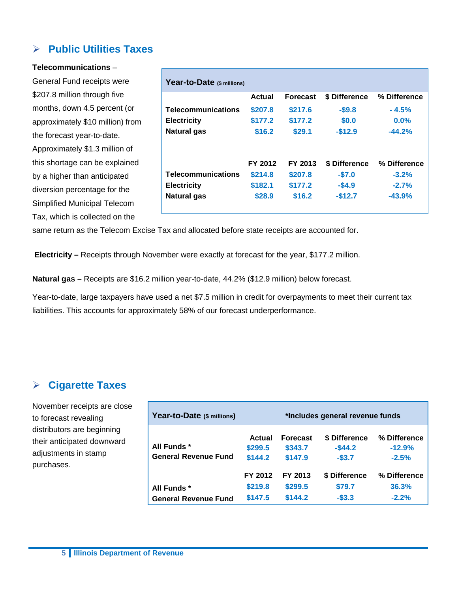#### **Public Utilities Taxes**

#### **Telecommunications** –

General Fund receipts were \$207.8 million through five months, down 4.5 percent (or approximately \$10 million) from the forecast year-to-date. Approximately \$1.3 million of this shortage can be explained by a higher than anticipated diversion percentage for the Simplified Municipal Telecom Tax, which is collected on the

| Year-to-Date (\$ millions) |         |                 |               |              |
|----------------------------|---------|-----------------|---------------|--------------|
|                            | Actual  | <b>Forecast</b> | \$ Difference | % Difference |
| <b>Telecommunications</b>  | \$207.8 | \$217.6         | $-$9.8$       | - 4.5%       |
| <b>Electricity</b>         | \$177.2 | \$177.2         | \$0.0         | $0.0\%$      |
| Natural gas                | \$16.2  | \$29.1          | $-$12.9$      | $-44.2%$     |
|                            | FY 2012 | FY 2013         | \$ Difference | % Difference |
| <b>Telecommunications</b>  | \$214.8 | \$207.8         | $-$7.0$       | $-3.2%$      |
| <b>Electricity</b>         | \$182.1 | \$177.2         | $-$4.9$       | $-2.7%$      |
| Natural gas                | \$28.9  | \$16.2          | $-$12.7$      | $-43.9%$     |
|                            |         |                 |               |              |

same return as the Telecom Excise Tax and allocated before state receipts are accounted for.

**Electricity –** Receipts through November were exactly at forecast for the year, \$177.2 million.

**Natural gas –** Receipts are \$16.2 million year-to-date, 44.2% (\$12.9 million) below forecast.

Year-to-date, large taxpayers have used a net \$7.5 million in credit for overpayments to meet their current tax liabilities. This accounts for approximately 58% of our forecast underperformance.

#### **Cigarette Taxes**

November receipts are close to forecast revealing distributors are beginning their anticipated downward adjustments in stamp purchases.

| Year-to-Date (\$ millions)                 |                               |                                       | *Includes general revenue funds          |                                     |
|--------------------------------------------|-------------------------------|---------------------------------------|------------------------------------------|-------------------------------------|
| All Funds *<br><b>General Revenue Fund</b> | Actual<br>\$299.5<br>\$144.2  | <b>Forecast</b><br>\$343.7<br>\$147.9 | \$ Difference<br>$-$ \$44.2<br>$-$ \$3.7 | % Difference<br>$-12.9%$<br>$-2.5%$ |
| All Funds *<br><b>General Revenue Fund</b> | FY 2012<br>\$219.8<br>\$147.5 | FY 2013<br>\$299.5<br>\$144.2         | \$ Difference<br>\$79.7<br>$-$3.3$       | % Difference<br>36.3%<br>$-2.2%$    |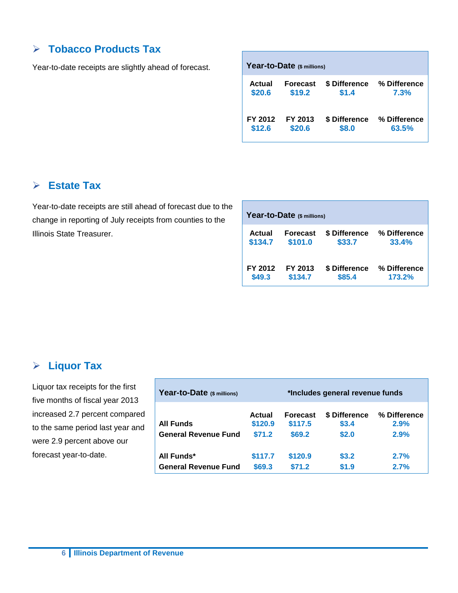## **Tobacco Products Tax**

Year-to-date receipts are slightly ahead of forecast.

| Year-to-Date (\$ millions) |                 |               |              |  |  |
|----------------------------|-----------------|---------------|--------------|--|--|
| Actual                     | <b>Forecast</b> | \$ Difference | % Difference |  |  |
| \$20.6                     | \$19.2          | \$1.4         | 7.3%         |  |  |
| FY 2012                    | FY 2013         | \$ Difference | % Difference |  |  |
| \$12.6                     | \$20.6          | \$8.0         | 63.5%        |  |  |

#### **Estate Tax**

Year-to-date receipts are still ahead of forecast due to the change in reporting of July receipts from counties to the Illinois State Treasurer.

| Year-to-Date (\$ millions) |                 |               |              |  |  |  |
|----------------------------|-----------------|---------------|--------------|--|--|--|
| Actual                     | <b>Forecast</b> | \$ Difference | % Difference |  |  |  |
| \$134.7                    | \$101.0         | \$33.7        | 33.4%        |  |  |  |
| FY 2012                    | FY 2013         | \$ Difference | % Difference |  |  |  |
| \$49.3                     | \$134.7         | \$85.4        | 173.2%       |  |  |  |

#### **Liquor Tax**

Liquor tax receipts for the first five months of fiscal year 2013 increased 2.7 percent compared to the same period last year and were 2.9 percent above our forecast year-to-date.

| Year-to-Date (\$ millions)                      | *Includes general revenue funds |                               |                                 |                              |  |
|-------------------------------------------------|---------------------------------|-------------------------------|---------------------------------|------------------------------|--|
| <b>All Funds</b><br><b>General Revenue Fund</b> | Actual<br>\$120.9<br>\$71.2     | Forecast<br>\$117.5<br>\$69.2 | \$ Difference<br>\$3.4<br>\$2.0 | % Difference<br>2.9%<br>2.9% |  |
| All Funds*<br><b>General Revenue Fund</b>       | \$117.7<br>\$69.3               | \$120.9<br>\$71.2             | \$3.2<br>\$1.9                  | 2.7%<br>2.7%                 |  |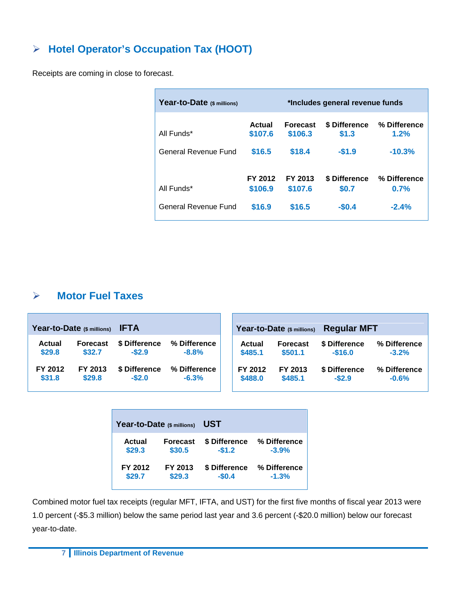## **Hotel Operator's Occupation Tax (HOOT)**

Receipts are coming in close to forecast.

| Year-to-Date (\$ millions) |                    |                            | *Includes general revenue funds |                      |
|----------------------------|--------------------|----------------------------|---------------------------------|----------------------|
| All Funds*                 | Actual<br>\$107.6  | <b>Forecast</b><br>\$106.3 | \$ Difference<br>\$1.3          | % Difference<br>1.2% |
| General Revenue Fund       | \$16.5             | \$18.4                     | $-$1.9$                         | $-10.3%$             |
| All Funds*                 | FY 2012<br>\$106.9 | FY 2013<br>\$107.6         | \$ Difference<br>\$0.7          | % Difference<br>0.7% |
| General Revenue Fund       | \$16.9             | \$16.5                     | $-$0.4$                         | $-2.4%$              |

#### **Motor Fuel Taxes**

|         | Year-to-Date (\$ millions) | <b>IFTA</b>   |              |         | Year-to-Date (\$ millions) | <b>Regular MFT</b> |              |
|---------|----------------------------|---------------|--------------|---------|----------------------------|--------------------|--------------|
| Actual  | <b>Forecast</b>            | \$ Difference | % Difference | Actual  | <b>Forecast</b>            | \$ Difference      | % Difference |
| \$29.8  | \$32.7                     | $-$ \$2.9     | $-8.8%$      | \$485.1 | \$501.1                    | $-$16.0$           | $-3.2%$      |
| FY 2012 | FY 2013                    | \$ Difference | % Difference | FY 2012 | FY 2013                    | \$ Difference      | % Difference |
| \$31.8  | \$29.8                     | $-S2.0$       | $-6.3%$      | \$488.0 | \$485.1                    | $-$2.9$            | $-0.6%$      |

| Year-to-Date (\$ millions) |                 | UST           |              |  |  |  |  |  |
|----------------------------|-----------------|---------------|--------------|--|--|--|--|--|
| Actual                     | <b>Forecast</b> | \$ Difference | % Difference |  |  |  |  |  |
| \$29.3                     | \$30.5          | $-$1.2$       | $-3.9%$      |  |  |  |  |  |
| FY 2012                    | FY 2013         | \$ Difference | % Difference |  |  |  |  |  |
| \$29.7                     | \$29.3          | $-$0.4$       | $-1.3%$      |  |  |  |  |  |

Combined motor fuel tax receipts (regular MFT, IFTA, and UST) for the first five months of fiscal year 2013 were 1.0 percent (-\$5.3 million) below the same period last year and 3.6 percent (-\$20.0 million) below our forecast year-to-date.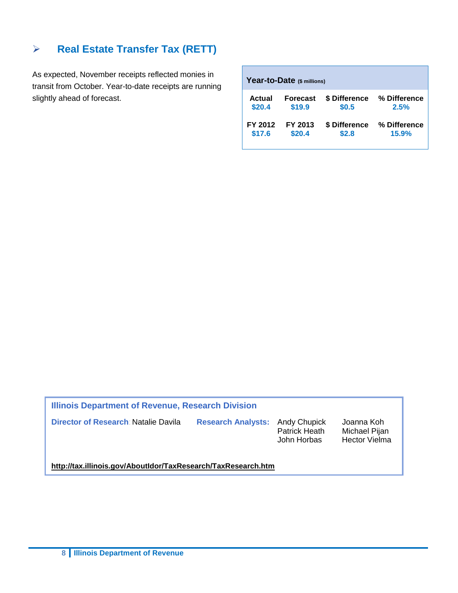## **Real Estate Transfer Tax (RETT)**

As expected, November receipts reflected monies in transit from October. Year-to-date receipts are running slightly ahead of forecast.

| Year-to-Date (\$ millions) |                 |               |              |  |  |  |  |  |  |  |  |
|----------------------------|-----------------|---------------|--------------|--|--|--|--|--|--|--|--|
| <b>Actual</b>              | <b>Forecast</b> | \$ Difference | % Difference |  |  |  |  |  |  |  |  |
| \$20.4                     | \$19.9          | \$0.5         | 2.5%         |  |  |  |  |  |  |  |  |
| FY 2012                    | FY 2013         | \$ Difference | % Difference |  |  |  |  |  |  |  |  |
| \$17.6                     | \$20.4          | \$2.8         | 15.9%        |  |  |  |  |  |  |  |  |

| Illinois Department of Revenue, Research Division             |                           |                                                     |                                                     |  |  |  |  |  |  |  |
|---------------------------------------------------------------|---------------------------|-----------------------------------------------------|-----------------------------------------------------|--|--|--|--|--|--|--|
| Director of Research: Natalie Davila                          | <b>Research Analysts:</b> | <b>Andy Chupick</b><br>Patrick Heath<br>John Horbas | Joanna Koh<br>Michael Pijan<br><b>Hector Vielma</b> |  |  |  |  |  |  |  |
| http://tax.illinois.gov/AboutIdor/TaxResearch/TaxResearch.htm |                           |                                                     |                                                     |  |  |  |  |  |  |  |